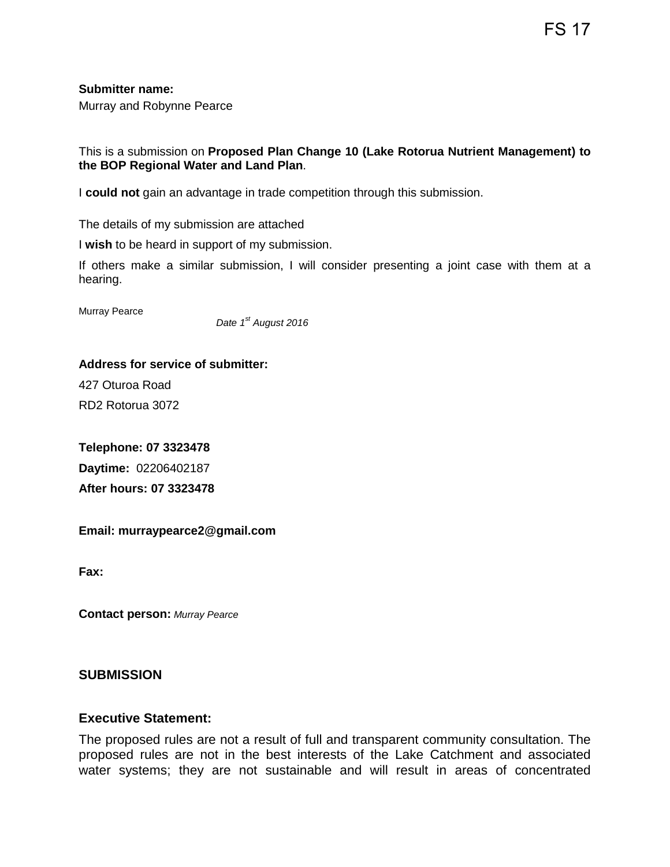FS 17

**Submitter name:**

Murray and Robynne Pearce

This is a submission on **Proposed Plan Change 10 (Lake Rotorua Nutrient Management) to the BOP Regional Water and Land Plan**.

I **could not** gain an advantage in trade competition through this submission.

The details of my submission are attached

I **wish** to be heard in support of my submission.

If others make a similar submission, I will consider presenting a joint case with them at a hearing.

Murray Pearce

 *Date 1st August 2016*

**Address for service of submitter:**

427 Oturoa Road RD2 Rotorua 3072

**Telephone: 07 3323478 Daytime:** 02206402187 **After hours: 07 3323478**

**Email: murraypearce2@gmail.com**

**Fax:**

**Contact person:** *Murray Pearce*

### **SUBMISSION**

### **Executive Statement:**

The proposed rules are not a result of full and transparent community consultation. The proposed rules are not in the best interests of the Lake Catchment and associated water systems; they are not sustainable and will result in areas of concentrated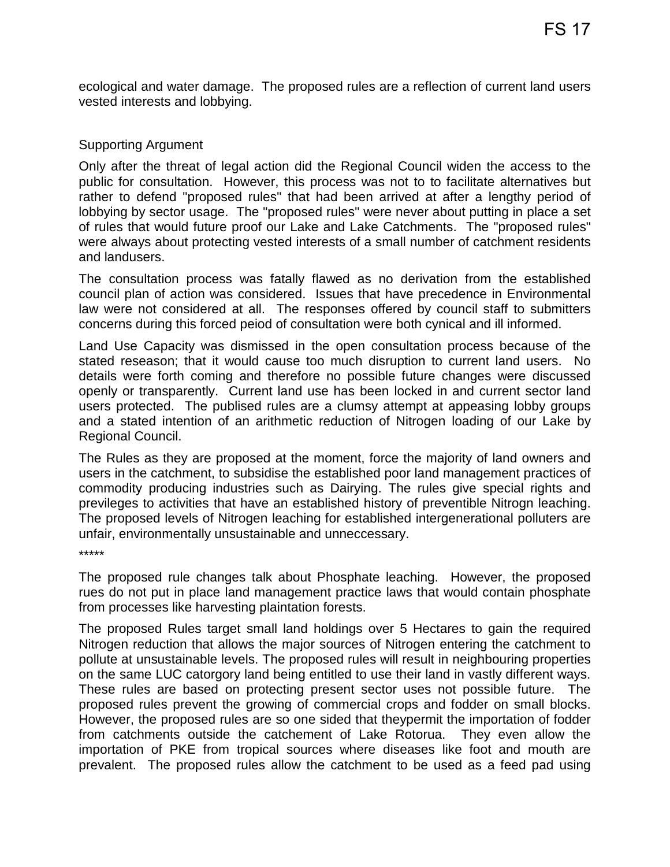ecological and water damage. The proposed rules are a reflection of current land users vested interests and lobbying.

## Supporting Argument

Only after the threat of legal action did the Regional Council widen the access to the public for consultation. However, this process was not to to facilitate alternatives but rather to defend "proposed rules" that had been arrived at after a lengthy period of lobbying by sector usage. The "proposed rules" were never about putting in place a set of rules that would future proof our Lake and Lake Catchments. The "proposed rules" were always about protecting vested interests of a small number of catchment residents and landusers.

The consultation process was fatally flawed as no derivation from the established council plan of action was considered. Issues that have precedence in Environmental law were not considered at all. The responses offered by council staff to submitters concerns during this forced peiod of consultation were both cynical and ill informed.

Land Use Capacity was dismissed in the open consultation process because of the stated reseason; that it would cause too much disruption to current land users. No details were forth coming and therefore no possible future changes were discussed openly or transparently. Current land use has been locked in and current sector land users protected. The publised rules are a clumsy attempt at appeasing lobby groups and a stated intention of an arithmetic reduction of Nitrogen loading of our Lake by Regional Council.

The Rules as they are proposed at the moment, force the majority of land owners and users in the catchment, to subsidise the established poor land management practices of commodity producing industries such as Dairying. The rules give special rights and previleges to activities that have an established history of preventible Nitrogn leaching. The proposed levels of Nitrogen leaching for established intergenerational polluters are unfair, environmentally unsustainable and unneccessary.

\*\*\*\*\*

The proposed rule changes talk about Phosphate leaching. However, the proposed rues do not put in place land management practice laws that would contain phosphate from processes like harvesting plaintation forests.

The proposed Rules target small land holdings over 5 Hectares to gain the required Nitrogen reduction that allows the major sources of Nitrogen entering the catchment to pollute at unsustainable levels. The proposed rules will result in neighbouring properties on the same LUC catorgory land being entitled to use their land in vastly different ways. These rules are based on protecting present sector uses not possible future. The proposed rules prevent the growing of commercial crops and fodder on small blocks. However, the proposed rules are so one sided that theypermit the importation of fodder from catchments outside the catchement of Lake Rotorua. They even allow the importation of PKE from tropical sources where diseases like foot and mouth are prevalent. The proposed rules allow the catchment to be used as a feed pad using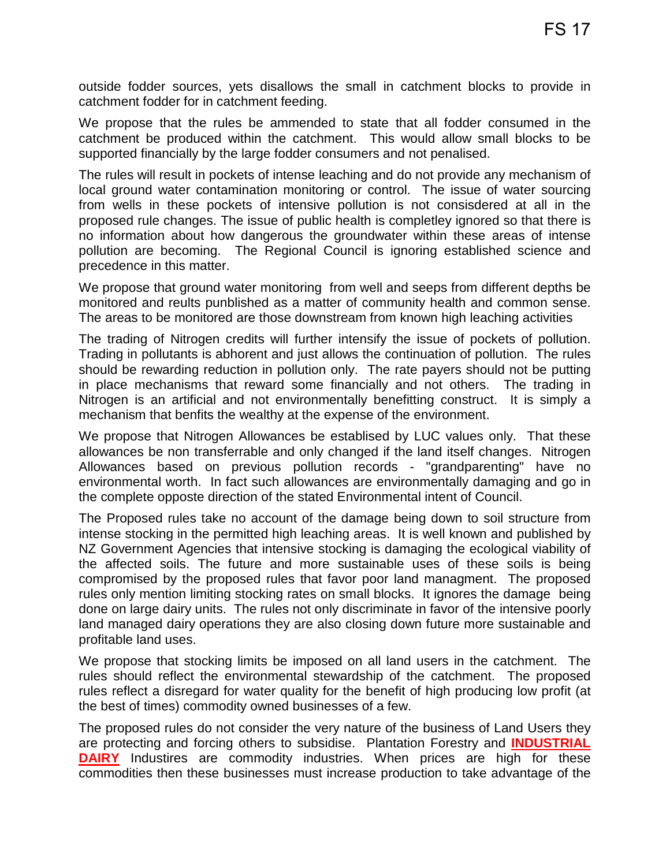outside fodder sources, yets disallows the small in catchment blocks to provide in catchment fodder for in catchment feeding.

We propose that the rules be ammended to state that all fodder consumed in the catchment be produced within the catchment. This would allow small blocks to be supported financially by the large fodder consumers and not penalised.

The rules will result in pockets of intense leaching and do not provide any mechanism of local ground water contamination monitoring or control. The issue of water sourcing from wells in these pockets of intensive pollution is not consisdered at all in the proposed rule changes. The issue of public health is completley ignored so that there is no information about how dangerous the groundwater within these areas of intense pollution are becoming. The Regional Council is ignoring established science and precedence in this matter.

We propose that ground water monitoring from well and seeps from different depths be monitored and reults punblished as a matter of community health and common sense. The areas to be monitored are those downstream from known high leaching activities

The trading of Nitrogen credits will further intensify the issue of pockets of pollution. Trading in pollutants is abhorent and just allows the continuation of pollution. The rules should be rewarding reduction in pollution only. The rate payers should not be putting in place mechanisms that reward some financially and not others. The trading in Nitrogen is an artificial and not environmentally benefitting construct. It is simply a mechanism that benfits the wealthy at the expense of the environment.

We propose that Nitrogen Allowances be establised by LUC values only. That these allowances be non transferrable and only changed if the land itself changes. Nitrogen Allowances based on previous pollution records - "grandparenting" have no environmental worth. In fact such allowances are environmentally damaging and go in the complete opposte direction of the stated Environmental intent of Council.

The Proposed rules take no account of the damage being down to soil structure from intense stocking in the permitted high leaching areas. It is well known and published by NZ Government Agencies that intensive stocking is damaging the ecological viability of the affected soils. The future and more sustainable uses of these soils is being compromised by the proposed rules that favor poor land managment. The proposed rules only mention limiting stocking rates on small blocks. It ignores the damage being done on large dairy units. The rules not only discriminate in favor of the intensive poorly land managed dairy operations they are also closing down future more sustainable and profitable land uses.

We propose that stocking limits be imposed on all land users in the catchment. The rules should reflect the environmental stewardship of the catchment. The proposed rules reflect a disregard for water quality for the benefit of high producing low profit (at the best of times) commodity owned businesses of a few.

The proposed rules do not consider the very nature of the business of Land Users they are protecting and forcing others to subsidise. Plantation Forestry and **INDUSTRIAL DAIRY** Industires are commodity industries. When prices are high for these commodities then these businesses must increase production to take advantage of the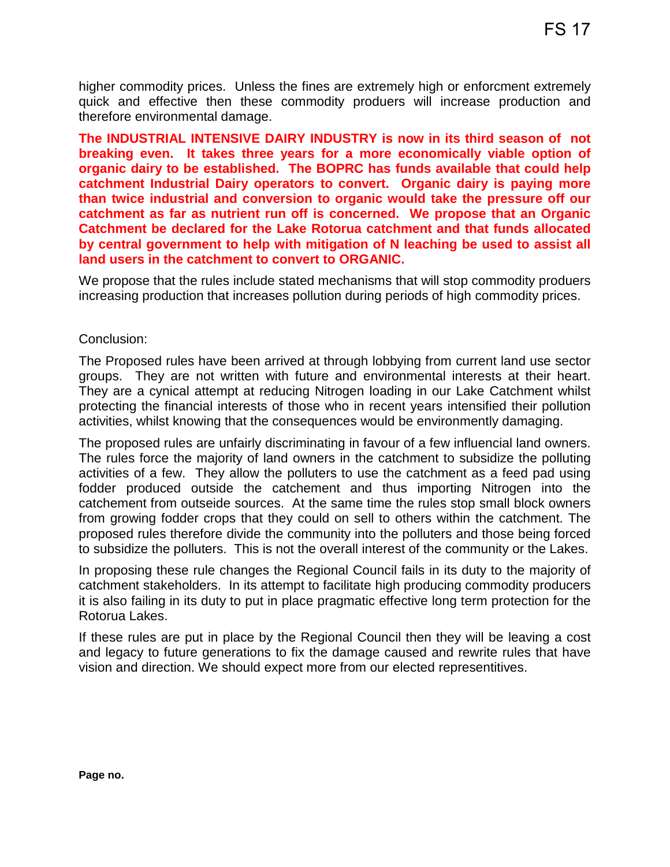higher commodity prices. Unless the fines are extremely high or enforcment extremely quick and effective then these commodity produers will increase production and therefore environmental damage.

**The INDUSTRIAL INTENSIVE DAIRY INDUSTRY is now in its third season of not breaking even. It takes three years for a more economically viable option of organic dairy to be established. The BOPRC has funds available that could help catchment Industrial Dairy operators to convert. Organic dairy is paying more than twice industrial and conversion to organic would take the pressure off our catchment as far as nutrient run off is concerned. We propose that an Organic Catchment be declared for the Lake Rotorua catchment and that funds allocated by central government to help with mitigation of N leaching be used to assist all land users in the catchment to convert to ORGANIC.**

We propose that the rules include stated mechanisms that will stop commodity produers increasing production that increases pollution during periods of high commodity prices.

## Conclusion:

The Proposed rules have been arrived at through lobbying from current land use sector groups. They are not written with future and environmental interests at their heart. They are a cynical attempt at reducing Nitrogen loading in our Lake Catchment whilst protecting the financial interests of those who in recent years intensified their pollution activities, whilst knowing that the consequences would be environmently damaging.

The proposed rules are unfairly discriminating in favour of a few influencial land owners. The rules force the majority of land owners in the catchment to subsidize the polluting activities of a few. They allow the polluters to use the catchment as a feed pad using fodder produced outside the catchement and thus importing Nitrogen into the catchement from outseide sources. At the same time the rules stop small block owners from growing fodder crops that they could on sell to others within the catchment. The proposed rules therefore divide the community into the polluters and those being forced to subsidize the polluters. This is not the overall interest of the community or the Lakes.

In proposing these rule changes the Regional Council fails in its duty to the majority of catchment stakeholders. In its attempt to facilitate high producing commodity producers it is also failing in its duty to put in place pragmatic effective long term protection for the Rotorua Lakes.

If these rules are put in place by the Regional Council then they will be leaving a cost and legacy to future generations to fix the damage caused and rewrite rules that have vision and direction. We should expect more from our elected representitives.